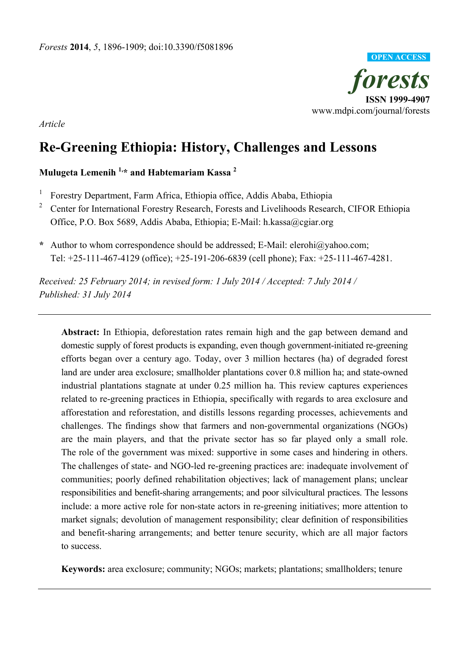

*Article*

# **Re-Greening Ethiopia: History, Challenges and Lessons**

# **Mulugeta Lemenih 1,\* and Habtemariam Kassa 2**

- 1 Forestry Department, Farm Africa, Ethiopia office, Addis Ababa, Ethiopia
- 2 Center for International Forestry Research, Forests and Livelihoods Research, CIFOR Ethiopia Office, P.O. Box 5689, Addis Ababa, Ethiopia; E-Mail: h.kassa@cgiar.org
- **\*** Author to whom correspondence should be addressed; E-Mail: elerohi@yahoo.com; Tel: +25-111-467-4129 (office); +25-191-206-6839 (cell phone); Fax: +25-111-467-4281.

*Received: 25 February 2014; in revised form: 1 July 2014 / Accepted: 7 July 2014 / Published: 31 July 2014* 

**Abstract:** In Ethiopia, deforestation rates remain high and the gap between demand and domestic supply of forest products is expanding, even though government-initiated re-greening efforts began over a century ago. Today, over 3 million hectares (ha) of degraded forest land are under area exclosure; smallholder plantations cover 0.8 million ha; and state-owned industrial plantations stagnate at under 0.25 million ha. This review captures experiences related to re-greening practices in Ethiopia, specifically with regards to area exclosure and afforestation and reforestation, and distills lessons regarding processes, achievements and challenges. The findings show that farmers and non-governmental organizations (NGOs) are the main players, and that the private sector has so far played only a small role. The role of the government was mixed: supportive in some cases and hindering in others. The challenges of state- and NGO-led re-greening practices are: inadequate involvement of communities; poorly defined rehabilitation objectives; lack of management plans; unclear responsibilities and benefit-sharing arrangements; and poor silvicultural practices. The lessons include: a more active role for non-state actors in re-greening initiatives; more attention to market signals; devolution of management responsibility; clear definition of responsibilities and benefit-sharing arrangements; and better tenure security, which are all major factors to success.

**Keywords:** area exclosure; community; NGOs; markets; plantations; smallholders; tenure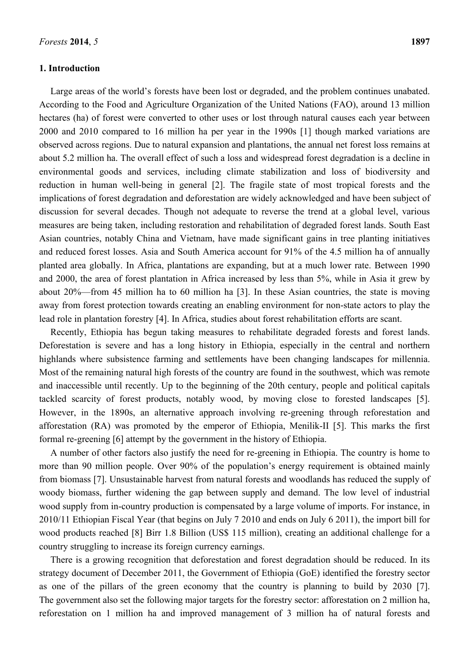## **1. Introduction**

Large areas of the world's forests have been lost or degraded, and the problem continues unabated. According to the Food and Agriculture Organization of the United Nations (FAO), around 13 million hectares (ha) of forest were converted to other uses or lost through natural causes each year between 2000 and 2010 compared to 16 million ha per year in the 1990s [1] though marked variations are observed across regions. Due to natural expansion and plantations, the annual net forest loss remains at about 5.2 million ha. The overall effect of such a loss and widespread forest degradation is a decline in environmental goods and services, including climate stabilization and loss of biodiversity and reduction in human well-being in general [2]. The fragile state of most tropical forests and the implications of forest degradation and deforestation are widely acknowledged and have been subject of discussion for several decades. Though not adequate to reverse the trend at a global level, various measures are being taken, including restoration and rehabilitation of degraded forest lands. South East Asian countries, notably China and Vietnam, have made significant gains in tree planting initiatives and reduced forest losses. Asia and South America account for 91% of the 4.5 million ha of annually planted area globally. In Africa, plantations are expanding, but at a much lower rate. Between 1990 and 2000, the area of forest plantation in Africa increased by less than 5%, while in Asia it grew by about 20%—from 45 million ha to 60 million ha [3]. In these Asian countries, the state is moving away from forest protection towards creating an enabling environment for non-state actors to play the lead role in plantation forestry [4]. In Africa, studies about forest rehabilitation efforts are scant.

Recently, Ethiopia has begun taking measures to rehabilitate degraded forests and forest lands. Deforestation is severe and has a long history in Ethiopia, especially in the central and northern highlands where subsistence farming and settlements have been changing landscapes for millennia. Most of the remaining natural high forests of the country are found in the southwest, which was remote and inaccessible until recently. Up to the beginning of the 20th century, people and political capitals tackled scarcity of forest products, notably wood, by moving close to forested landscapes [5]. However, in the 1890s, an alternative approach involving re-greening through reforestation and afforestation (RA) was promoted by the emperor of Ethiopia, Menilik-II [5]. This marks the first formal re-greening [6] attempt by the government in the history of Ethiopia.

A number of other factors also justify the need for re-greening in Ethiopia. The country is home to more than 90 million people. Over 90% of the population's energy requirement is obtained mainly from biomass [7]. Unsustainable harvest from natural forests and woodlands has reduced the supply of woody biomass, further widening the gap between supply and demand. The low level of industrial wood supply from in-country production is compensated by a large volume of imports. For instance, in 2010/11 Ethiopian Fiscal Year (that begins on July 7 2010 and ends on July 6 2011), the import bill for wood products reached [8] Birr 1.8 Billion (US\$ 115 million), creating an additional challenge for a country struggling to increase its foreign currency earnings.

There is a growing recognition that deforestation and forest degradation should be reduced. In its strategy document of December 2011, the Government of Ethiopia (GoE) identified the forestry sector as one of the pillars of the green economy that the country is planning to build by 2030 [7]. The government also set the following major targets for the forestry sector: afforestation on 2 million ha, reforestation on 1 million ha and improved management of 3 million ha of natural forests and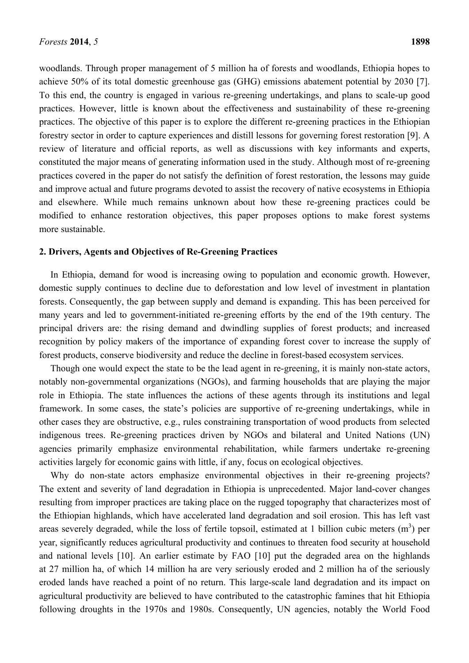woodlands. Through proper management of 5 million ha of forests and woodlands, Ethiopia hopes to achieve 50% of its total domestic greenhouse gas (GHG) emissions abatement potential by 2030 [7]. To this end, the country is engaged in various re-greening undertakings, and plans to scale-up good practices. However, little is known about the effectiveness and sustainability of these re-greening practices. The objective of this paper is to explore the different re-greening practices in the Ethiopian forestry sector in order to capture experiences and distill lessons for governing forest restoration [9]. A review of literature and official reports, as well as discussions with key informants and experts, constituted the major means of generating information used in the study. Although most of re-greening practices covered in the paper do not satisfy the definition of forest restoration, the lessons may guide and improve actual and future programs devoted to assist the recovery of native ecosystems in Ethiopia and elsewhere. While much remains unknown about how these re-greening practices could be modified to enhance restoration objectives, this paper proposes options to make forest systems more sustainable.

## **2. Drivers, Agents and Objectives of Re-Greening Practices**

In Ethiopia, demand for wood is increasing owing to population and economic growth. However, domestic supply continues to decline due to deforestation and low level of investment in plantation forests. Consequently, the gap between supply and demand is expanding. This has been perceived for many years and led to government-initiated re-greening efforts by the end of the 19th century. The principal drivers are: the rising demand and dwindling supplies of forest products; and increased recognition by policy makers of the importance of expanding forest cover to increase the supply of forest products, conserve biodiversity and reduce the decline in forest-based ecosystem services.

Though one would expect the state to be the lead agent in re-greening, it is mainly non-state actors, notably non-governmental organizations (NGOs), and farming households that are playing the major role in Ethiopia. The state influences the actions of these agents through its institutions and legal framework. In some cases, the state's policies are supportive of re-greening undertakings, while in other cases they are obstructive, e.g., rules constraining transportation of wood products from selected indigenous trees. Re-greening practices driven by NGOs and bilateral and United Nations (UN) agencies primarily emphasize environmental rehabilitation, while farmers undertake re-greening activities largely for economic gains with little, if any, focus on ecological objectives.

Why do non-state actors emphasize environmental objectives in their re-greening projects? The extent and severity of land degradation in Ethiopia is unprecedented. Major land-cover changes resulting from improper practices are taking place on the rugged topography that characterizes most of the Ethiopian highlands, which have accelerated land degradation and soil erosion. This has left vast areas severely degraded, while the loss of fertile topsoil, estimated at 1 billion cubic meters  $(m^3)$  per year, significantly reduces agricultural productivity and continues to threaten food security at household and national levels [10]. An earlier estimate by FAO [10] put the degraded area on the highlands at 27 million ha, of which 14 million ha are very seriously eroded and 2 million ha of the seriously eroded lands have reached a point of no return. This large-scale land degradation and its impact on agricultural productivity are believed to have contributed to the catastrophic famines that hit Ethiopia following droughts in the 1970s and 1980s. Consequently, UN agencies, notably the World Food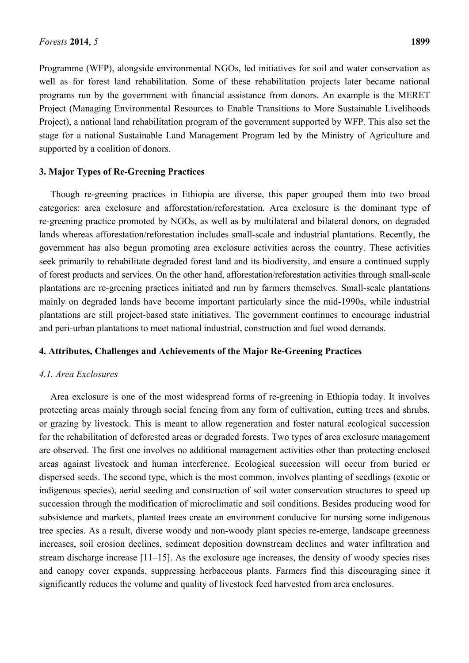Programme (WFP), alongside environmental NGOs, led initiatives for soil and water conservation as well as for forest land rehabilitation. Some of these rehabilitation projects later became national programs run by the government with financial assistance from donors. An example is the MERET Project (Managing Environmental Resources to Enable Transitions to More Sustainable Livelihoods Project), a national land rehabilitation program of the government supported by WFP. This also set the stage for a national Sustainable Land Management Program led by the Ministry of Agriculture and supported by a coalition of donors.

## **3. Major Types of Re-Greening Practices**

Though re-greening practices in Ethiopia are diverse, this paper grouped them into two broad categories: area exclosure and afforestation/reforestation. Area exclosure is the dominant type of re-greening practice promoted by NGOs, as well as by multilateral and bilateral donors, on degraded lands whereas afforestation/reforestation includes small-scale and industrial plantations. Recently, the government has also begun promoting area exclosure activities across the country. These activities seek primarily to rehabilitate degraded forest land and its biodiversity, and ensure a continued supply of forest products and services. On the other hand, afforestation/reforestation activities through small-scale plantations are re-greening practices initiated and run by farmers themselves. Small-scale plantations mainly on degraded lands have become important particularly since the mid-1990s, while industrial plantations are still project-based state initiatives. The government continues to encourage industrial and peri-urban plantations to meet national industrial, construction and fuel wood demands.

### **4. Attributes, Challenges and Achievements of the Major Re-Greening Practices**

### *4.1. Area Exclosures*

Area exclosure is one of the most widespread forms of re-greening in Ethiopia today. It involves protecting areas mainly through social fencing from any form of cultivation, cutting trees and shrubs, or grazing by livestock. This is meant to allow regeneration and foster natural ecological succession for the rehabilitation of deforested areas or degraded forests. Two types of area exclosure management are observed. The first one involves no additional management activities other than protecting enclosed areas against livestock and human interference. Ecological succession will occur from buried or dispersed seeds. The second type, which is the most common, involves planting of seedlings (exotic or indigenous species), aerial seeding and construction of soil water conservation structures to speed up succession through the modification of microclimatic and soil conditions. Besides producing wood for subsistence and markets, planted trees create an environment conducive for nursing some indigenous tree species. As a result, diverse woody and non-woody plant species re-emerge, landscape greenness increases, soil erosion declines, sediment deposition downstream declines and water infiltration and stream discharge increase [11–15]. As the exclosure age increases, the density of woody species rises and canopy cover expands, suppressing herbaceous plants. Farmers find this discouraging since it significantly reduces the volume and quality of livestock feed harvested from area enclosures.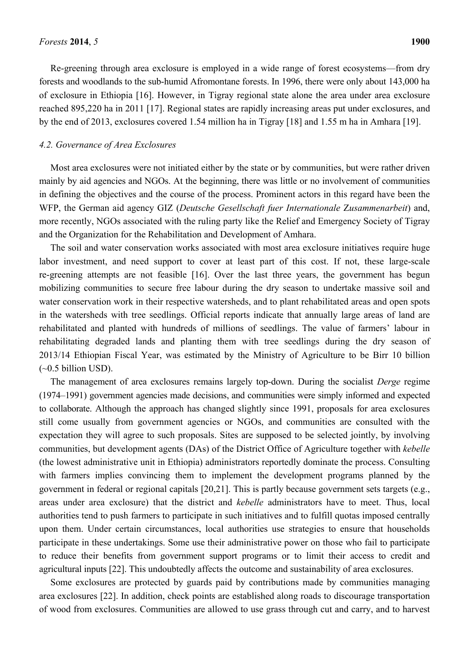Re-greening through area exclosure is employed in a wide range of forest ecosystems—from dry forests and woodlands to the sub-humid Afromontane forests. In 1996, there were only about 143,000 ha of exclosure in Ethiopia [16]. However, in Tigray regional state alone the area under area exclosure reached 895,220 ha in 2011 [17]. Regional states are rapidly increasing areas put under exclosures, and by the end of 2013, exclosures covered 1.54 million ha in Tigray [18] and 1.55 m ha in Amhara [19].

### *4.2. Governance of Area Exclosures*

Most area exclosures were not initiated either by the state or by communities, but were rather driven mainly by aid agencies and NGOs. At the beginning, there was little or no involvement of communities in defining the objectives and the course of the process. Prominent actors in this regard have been the WFP, the German aid agency GIZ (*Deutsche Gesellschaft fuer Internationale* Z*usammenarbeit*) and, more recently, NGOs associated with the ruling party like the Relief and Emergency Society of Tigray and the Organization for the Rehabilitation and Development of Amhara.

The soil and water conservation works associated with most area exclosure initiatives require huge labor investment, and need support to cover at least part of this cost. If not, these large-scale re-greening attempts are not feasible [16]. Over the last three years, the government has begun mobilizing communities to secure free labour during the dry season to undertake massive soil and water conservation work in their respective watersheds, and to plant rehabilitated areas and open spots in the watersheds with tree seedlings. Official reports indicate that annually large areas of land are rehabilitated and planted with hundreds of millions of seedlings. The value of farmers' labour in rehabilitating degraded lands and planting them with tree seedlings during the dry season of 2013/14 Ethiopian Fiscal Year, was estimated by the Ministry of Agriculture to be Birr 10 billion  $(\sim 0.5 \text{ billion USD})$ .

The management of area exclosures remains largely top-down. During the socialist *Derge* regime (1974–1991) government agencies made decisions, and communities were simply informed and expected to collaborate. Although the approach has changed slightly since 1991, proposals for area exclosures still come usually from government agencies or NGOs, and communities are consulted with the expectation they will agree to such proposals. Sites are supposed to be selected jointly, by involving communities, but development agents (DAs) of the District Office of Agriculture together with *kebelle* (the lowest administrative unit in Ethiopia) administrators reportedly dominate the process. Consulting with farmers implies convincing them to implement the development programs planned by the government in federal or regional capitals [20,21]. This is partly because government sets targets (e.g., areas under area exclosure) that the district and *kebelle* administrators have to meet. Thus, local authorities tend to push farmers to participate in such initiatives and to fulfill quotas imposed centrally upon them. Under certain circumstances, local authorities use strategies to ensure that households participate in these undertakings. Some use their administrative power on those who fail to participate to reduce their benefits from government support programs or to limit their access to credit and agricultural inputs [22]. This undoubtedly affects the outcome and sustainability of area exclosures.

Some exclosures are protected by guards paid by contributions made by communities managing area exclosures [22]. In addition, check points are established along roads to discourage transportation of wood from exclosures. Communities are allowed to use grass through cut and carry, and to harvest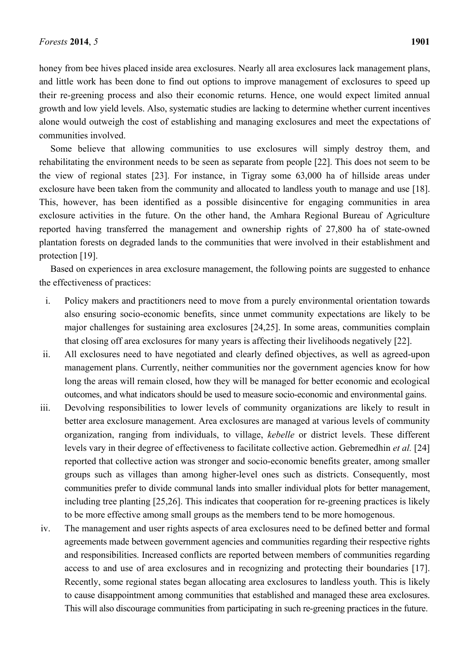honey from bee hives placed inside area exclosures. Nearly all area exclosures lack management plans, and little work has been done to find out options to improve management of exclosures to speed up their re-greening process and also their economic returns. Hence, one would expect limited annual growth and low yield levels. Also, systematic studies are lacking to determine whether current incentives alone would outweigh the cost of establishing and managing exclosures and meet the expectations of communities involved.

Some believe that allowing communities to use exclosures will simply destroy them, and rehabilitating the environment needs to be seen as separate from people [22]. This does not seem to be the view of regional states [23]. For instance, in Tigray some 63,000 ha of hillside areas under exclosure have been taken from the community and allocated to landless youth to manage and use [18]. This, however, has been identified as a possible disincentive for engaging communities in area exclosure activities in the future. On the other hand, the Amhara Regional Bureau of Agriculture reported having transferred the management and ownership rights of 27,800 ha of state-owned plantation forests on degraded lands to the communities that were involved in their establishment and protection [19].

Based on experiences in area exclosure management, the following points are suggested to enhance the effectiveness of practices:

- i. Policy makers and practitioners need to move from a purely environmental orientation towards also ensuring socio-economic benefits, since unmet community expectations are likely to be major challenges for sustaining area exclosures [24,25]. In some areas, communities complain that closing off area exclosures for many years is affecting their livelihoods negatively [22].
- ii. All exclosures need to have negotiated and clearly defined objectives, as well as agreed-upon management plans. Currently, neither communities nor the government agencies know for how long the areas will remain closed, how they will be managed for better economic and ecological outcomes, and what indicators should be used to measure socio-economic and environmental gains.
- iii. Devolving responsibilities to lower levels of community organizations are likely to result in better area exclosure management. Area exclosures are managed at various levels of community organization, ranging from individuals, to village, *kebelle* or district levels. These different levels vary in their degree of effectiveness to facilitate collective action. Gebremedhin *et al.* [24] reported that collective action was stronger and socio-economic benefits greater, among smaller groups such as villages than among higher-level ones such as districts. Consequently, most communities prefer to divide communal lands into smaller individual plots for better management, including tree planting [25,26]. This indicates that cooperation for re-greening practices is likely to be more effective among small groups as the members tend to be more homogenous.
- iv. The management and user rights aspects of area exclosures need to be defined better and formal agreements made between government agencies and communities regarding their respective rights and responsibilities. Increased conflicts are reported between members of communities regarding access to and use of area exclosures and in recognizing and protecting their boundaries [17]. Recently, some regional states began allocating area exclosures to landless youth. This is likely to cause disappointment among communities that established and managed these area exclosures. This will also discourage communities from participating in such re-greening practices in the future.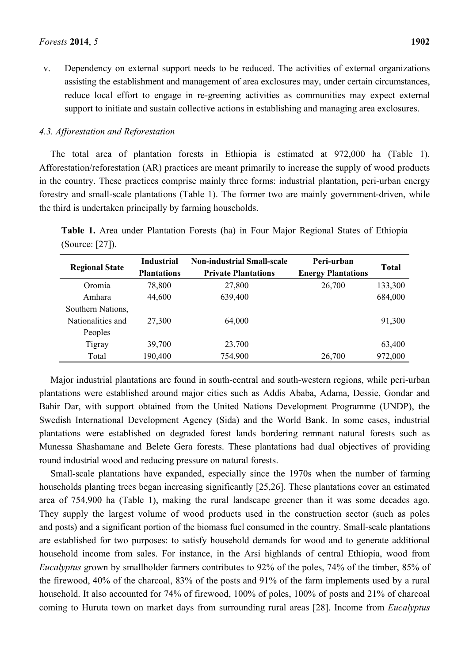v. Dependency on external support needs to be reduced. The activities of external organizations assisting the establishment and management of area exclosures may, under certain circumstances, reduce local effort to engage in re-greening activities as communities may expect external support to initiate and sustain collective actions in establishing and managing area exclosures.

## *4.3. Afforestation and Reforestation*

The total area of plantation forests in Ethiopia is estimated at 972,000 ha (Table 1). Afforestation/reforestation (AR) practices are meant primarily to increase the supply of wood products in the country. These practices comprise mainly three forms: industrial plantation, peri-urban energy forestry and small-scale plantations (Table 1). The former two are mainly government-driven, while the third is undertaken principally by farming households.

**Table 1.** Area under Plantation Forests (ha) in Four Major Regional States of Ethiopia (Source: [27]).

| <b>Regional State</b> | <b>Industrial</b>  | <b>Non-industrial Small-scale</b> | Peri-urban                | <b>Total</b> |
|-----------------------|--------------------|-----------------------------------|---------------------------|--------------|
|                       | <b>Plantations</b> | <b>Private Plantations</b>        | <b>Energy Plantations</b> |              |
| Oromia                | 78,800             | 27,800                            | 26,700                    | 133,300      |
| Amhara                | 44,600             | 639,400                           |                           | 684,000      |
| Southern Nations,     |                    |                                   |                           |              |
| Nationalities and     | 27,300             | 64,000                            |                           | 91,300       |
| Peoples               |                    |                                   |                           |              |
| Tigray                | 39,700             | 23,700                            |                           | 63,400       |
| Total                 | 190,400            | 754,900                           | 26,700                    | 972,000      |

Major industrial plantations are found in south-central and south-western regions, while peri-urban plantations were established around major cities such as Addis Ababa, Adama, Dessie, Gondar and Bahir Dar, with support obtained from the United Nations Development Programme (UNDP), the Swedish International Development Agency (Sida) and the World Bank. In some cases, industrial plantations were established on degraded forest lands bordering remnant natural forests such as Munessa Shashamane and Belete Gera forests. These plantations had dual objectives of providing round industrial wood and reducing pressure on natural forests.

Small-scale plantations have expanded, especially since the 1970s when the number of farming households planting trees began increasing significantly [25,26]. These plantations cover an estimated area of 754,900 ha (Table 1), making the rural landscape greener than it was some decades ago. They supply the largest volume of wood products used in the construction sector (such as poles and posts) and a significant portion of the biomass fuel consumed in the country. Small-scale plantations are established for two purposes: to satisfy household demands for wood and to generate additional household income from sales. For instance, in the Arsi highlands of central Ethiopia, wood from *Eucalyptus* grown by smallholder farmers contributes to 92% of the poles, 74% of the timber, 85% of the firewood, 40% of the charcoal, 83% of the posts and 91% of the farm implements used by a rural household. It also accounted for 74% of firewood, 100% of poles, 100% of posts and 21% of charcoal coming to Huruta town on market days from surrounding rural areas [28]. Income from *Eucalyptus*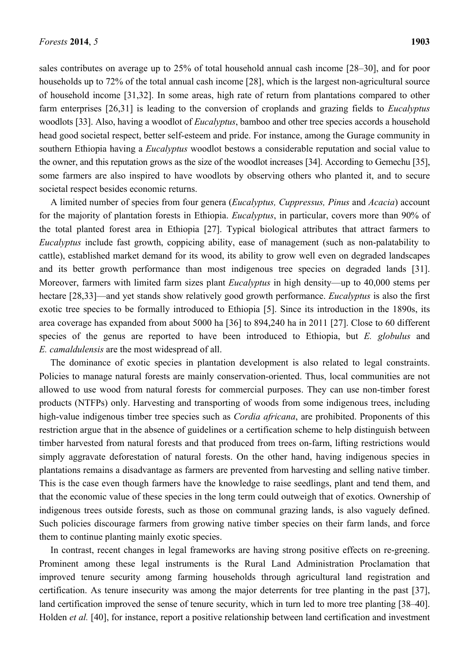sales contributes on average up to 25% of total household annual cash income [28–30], and for poor households up to 72% of the total annual cash income [28], which is the largest non-agricultural source of household income [31,32]. In some areas, high rate of return from plantations compared to other farm enterprises [26,31] is leading to the conversion of croplands and grazing fields to *Eucalyptus* woodlots [33]. Also, having a woodlot of *Eucalyptus*, bamboo and other tree species accords a household head good societal respect, better self-esteem and pride. For instance, among the Gurage community in southern Ethiopia having a *Eucalyptus* woodlot bestows a considerable reputation and social value to the owner, and this reputation grows as the size of the woodlot increases [34]. According to Gemechu [35], some farmers are also inspired to have woodlots by observing others who planted it, and to secure societal respect besides economic returns.

A limited number of species from four genera (*Eucalyptus, Cuppressus, Pinus* and *Acacia*) account for the majority of plantation forests in Ethiopia. *Eucalyptus*, in particular, covers more than 90% of the total planted forest area in Ethiopia [27]. Typical biological attributes that attract farmers to *Eucalyptus* include fast growth, coppicing ability, ease of management (such as non-palatability to cattle), established market demand for its wood, its ability to grow well even on degraded landscapes and its better growth performance than most indigenous tree species on degraded lands [31]. Moreover, farmers with limited farm sizes plant *Eucalyptus* in high density—up to 40,000 stems per hectare [28,33]—and yet stands show relatively good growth performance. *Eucalyptus* is also the first exotic tree species to be formally introduced to Ethiopia [5]. Since its introduction in the 1890s, its area coverage has expanded from about 5000 ha [36] to 894,240 ha in 2011 [27]. Close to 60 different species of the genus are reported to have been introduced to Ethiopia, but *E. globulus* and *E. camaldulensis* are the most widespread of all.

The dominance of exotic species in plantation development is also related to legal constraints. Policies to manage natural forests are mainly conservation-oriented. Thus, local communities are not allowed to use wood from natural forests for commercial purposes. They can use non-timber forest products (NTFPs) only. Harvesting and transporting of woods from some indigenous trees, including high-value indigenous timber tree species such as *Cordia africana*, are prohibited. Proponents of this restriction argue that in the absence of guidelines or a certification scheme to help distinguish between timber harvested from natural forests and that produced from trees on-farm, lifting restrictions would simply aggravate deforestation of natural forests. On the other hand, having indigenous species in plantations remains a disadvantage as farmers are prevented from harvesting and selling native timber. This is the case even though farmers have the knowledge to raise seedlings, plant and tend them, and that the economic value of these species in the long term could outweigh that of exotics. Ownership of indigenous trees outside forests, such as those on communal grazing lands, is also vaguely defined. Such policies discourage farmers from growing native timber species on their farm lands, and force them to continue planting mainly exotic species.

In contrast, recent changes in legal frameworks are having strong positive effects on re-greening. Prominent among these legal instruments is the Rural Land Administration Proclamation that improved tenure security among farming households through agricultural land registration and certification. As tenure insecurity was among the major deterrents for tree planting in the past [37], land certification improved the sense of tenure security, which in turn led to more tree planting [38–40]. Holden *et al.* [40], for instance, report a positive relationship between land certification and investment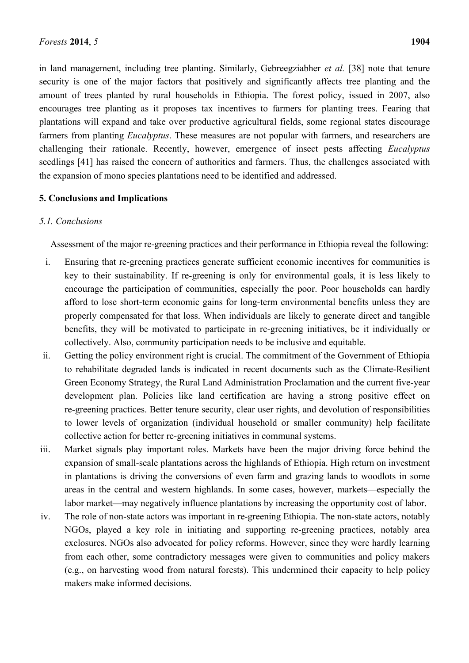in land management, including tree planting. Similarly, Gebreegziabher *et al.* [38] note that tenure security is one of the major factors that positively and significantly affects tree planting and the amount of trees planted by rural households in Ethiopia. The forest policy, issued in 2007, also encourages tree planting as it proposes tax incentives to farmers for planting trees. Fearing that plantations will expand and take over productive agricultural fields, some regional states discourage farmers from planting *Eucalyptus*. These measures are not popular with farmers, and researchers are challenging their rationale. Recently, however, emergence of insect pests affecting *Eucalyptus* seedlings [41] has raised the concern of authorities and farmers. Thus, the challenges associated with the expansion of mono species plantations need to be identified and addressed.

# **5. Conclusions and Implications**

## *5.1. Conclusions*

Assessment of the major re-greening practices and their performance in Ethiopia reveal the following:

- i. Ensuring that re-greening practices generate sufficient economic incentives for communities is key to their sustainability. If re-greening is only for environmental goals, it is less likely to encourage the participation of communities, especially the poor. Poor households can hardly afford to lose short-term economic gains for long-term environmental benefits unless they are properly compensated for that loss. When individuals are likely to generate direct and tangible benefits, they will be motivated to participate in re-greening initiatives, be it individually or collectively. Also, community participation needs to be inclusive and equitable.
- ii. Getting the policy environment right is crucial. The commitment of the Government of Ethiopia to rehabilitate degraded lands is indicated in recent documents such as the Climate-Resilient Green Economy Strategy, the Rural Land Administration Proclamation and the current five-year development plan. Policies like land certification are having a strong positive effect on re-greening practices. Better tenure security, clear user rights, and devolution of responsibilities to lower levels of organization (individual household or smaller community) help facilitate collective action for better re-greening initiatives in communal systems.
- iii. Market signals play important roles. Markets have been the major driving force behind the expansion of small-scale plantations across the highlands of Ethiopia. High return on investment in plantations is driving the conversions of even farm and grazing lands to woodlots in some areas in the central and western highlands. In some cases, however, markets—especially the labor market—may negatively influence plantations by increasing the opportunity cost of labor.
- iv. The role of non-state actors was important in re-greening Ethiopia. The non-state actors, notably NGOs, played a key role in initiating and supporting re-greening practices, notably area exclosures. NGOs also advocated for policy reforms. However, since they were hardly learning from each other, some contradictory messages were given to communities and policy makers (e.g., on harvesting wood from natural forests). This undermined their capacity to help policy makers make informed decisions.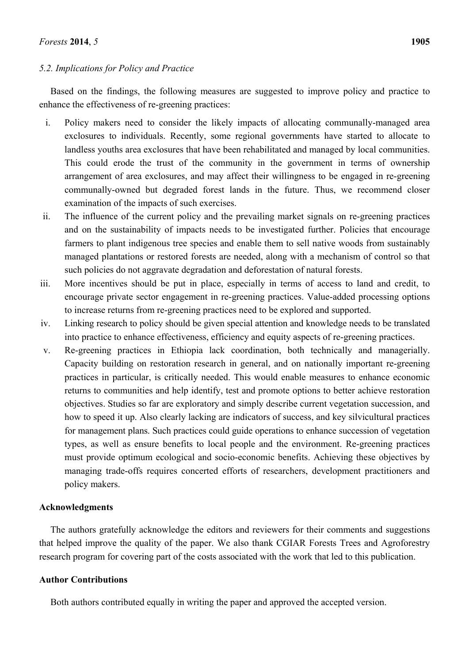# *5.2. Implications for Policy and Practice*

Based on the findings, the following measures are suggested to improve policy and practice to enhance the effectiveness of re-greening practices:

- i. Policy makers need to consider the likely impacts of allocating communally-managed area exclosures to individuals. Recently, some regional governments have started to allocate to landless youths area exclosures that have been rehabilitated and managed by local communities. This could erode the trust of the community in the government in terms of ownership arrangement of area exclosures, and may affect their willingness to be engaged in re-greening communally-owned but degraded forest lands in the future. Thus, we recommend closer examination of the impacts of such exercises.
- ii. The influence of the current policy and the prevailing market signals on re-greening practices and on the sustainability of impacts needs to be investigated further. Policies that encourage farmers to plant indigenous tree species and enable them to sell native woods from sustainably managed plantations or restored forests are needed, along with a mechanism of control so that such policies do not aggravate degradation and deforestation of natural forests.
- iii. More incentives should be put in place, especially in terms of access to land and credit, to encourage private sector engagement in re-greening practices. Value-added processing options to increase returns from re-greening practices need to be explored and supported.
- iv. Linking research to policy should be given special attention and knowledge needs to be translated into practice to enhance effectiveness, efficiency and equity aspects of re-greening practices.
- v. Re-greening practices in Ethiopia lack coordination, both technically and managerially. Capacity building on restoration research in general, and on nationally important re-greening practices in particular, is critically needed. This would enable measures to enhance economic returns to communities and help identify, test and promote options to better achieve restoration objectives. Studies so far are exploratory and simply describe current vegetation succession, and how to speed it up. Also clearly lacking are indicators of success, and key silvicultural practices for management plans. Such practices could guide operations to enhance succession of vegetation types, as well as ensure benefits to local people and the environment. Re-greening practices must provide optimum ecological and socio-economic benefits. Achieving these objectives by managing trade-offs requires concerted efforts of researchers, development practitioners and policy makers.

# **Acknowledgments**

The authors gratefully acknowledge the editors and reviewers for their comments and suggestions that helped improve the quality of the paper. We also thank CGIAR Forests Trees and Agroforestry research program for covering part of the costs associated with the work that led to this publication.

# **Author Contributions**

Both authors contributed equally in writing the paper and approved the accepted version.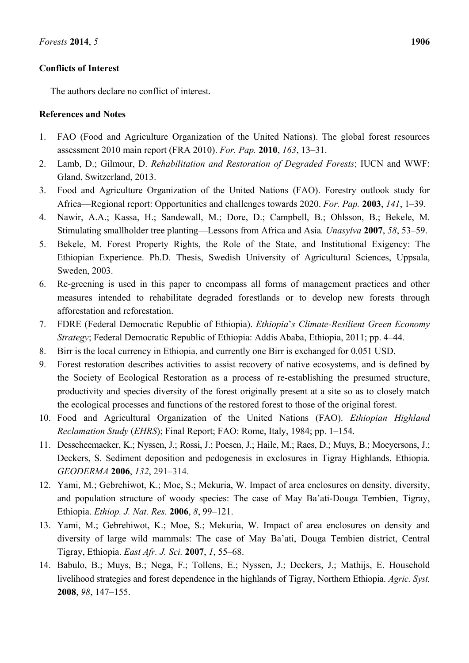# **Conflicts of Interest**

The authors declare no conflict of interest.

# **References and Notes**

- 1. FAO (Food and Agriculture Organization of the United Nations). The global forest resources assessment 2010 main report (FRA 2010). *For. Pap.* **2010**, *163*, 13–31.
- 2. Lamb, D.; Gilmour, D. *Rehabilitation and Restoration of Degraded Forests*; IUCN and WWF: Gland, Switzerland, 2013.
- 3. Food and Agriculture Organization of the United Nations (FAO). Forestry outlook study for Africa—Regional report: Opportunities and challenges towards 2020. *For. Pap.* **2003**, *141*, 1–39.
- 4. Nawir, A.A.; Kassa, H.; Sandewall, M.; Dore, D.; Campbell, B.; Ohlsson, B.; Bekele, M. Stimulating smallholder tree planting—Lessons from Africa and Asia*. Unasylva* **2007**, *58*, 53–59.
- 5. Bekele, M. Forest Property Rights, the Role of the State, and Institutional Exigency: The Ethiopian Experience. Ph.D. Thesis, Swedish University of Agricultural Sciences, Uppsala, Sweden, 2003.
- 6. Re-greening is used in this paper to encompass all forms of management practices and other measures intended to rehabilitate degraded forestlands or to develop new forests through afforestation and reforestation.
- 7. FDRE (Federal Democratic Republic of Ethiopia). *Ethiopia*'*s Climate-Resilient Green Economy Strategy*; Federal Democratic Republic of Ethiopia: Addis Ababa, Ethiopia, 2011; pp. 4–44.
- 8. Birr is the local currency in Ethiopia, and currently one Birr is exchanged for 0.051 USD.
- 9. Forest restoration describes activities to assist recovery of native ecosystems, and is defined by the Society of Ecological Restoration as a process of re-establishing the presumed structure, productivity and species diversity of the forest originally present at a site so as to closely match the ecological processes and functions of the restored forest to those of the original forest.
- 10. Food and Agricultural Organization of the United Nations (FAO). *Ethiopian Highland Reclamation Study* (*EHRS*); Final Report; FAO: Rome, Italy, 1984; pp. 1–154.
- 11. Desscheemaeker, K.; Nyssen, J.; Rossi, J.; Poesen, J.; Haile, M.; Raes, D.; Muys, B.; Moeyersons, J.; Deckers, S. Sediment deposition and pedogenesis in exclosures in Tigray Highlands, Ethiopia. *GEODERMA* **2006**, *132*, 291–314.
- 12. Yami, M.; Gebrehiwot, K.; Moe, S.; Mekuria, W. Impact of area enclosures on density, diversity, and population structure of woody species: The case of May Ba'ati-Douga Tembien, Tigray, Ethiopia. *Ethiop. J. Nat. Res.* **2006**, *8*, 99–121.
- 13. Yami, M.; Gebrehiwot, K.; Moe, S.; Mekuria, W. Impact of area enclosures on density and diversity of large wild mammals: The case of May Ba'ati, Douga Tembien district, Central Tigray, Ethiopia. *East Afr. J. Sci.* **2007**, *1*, 55–68.
- 14. Babulo, B.; Muys, B.; Nega, F.; Tollens, E.; Nyssen, J.; Deckers, J.; Mathijs, E. Household livelihood strategies and forest dependence in the highlands of Tigray, Northern Ethiopia. *Agric. Syst.* **2008**, *98*, 147–155.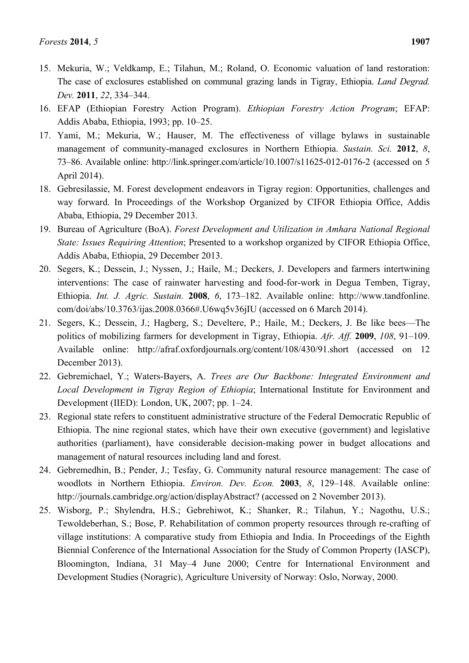- 15. Mekuria, W.; Veldkamp, E.; Tilahun, M.; Roland, O. Economic valuation of land restoration: The case of exclosures established on communal grazing lands in Tigray, Ethiopia. *Land Degrad. Dev.* **2011**, *22*, 334–344.
- 16. EFAP (Ethiopian Forestry Action Program). *Ethiopian Forestry Action Program*; EFAP: Addis Ababa, Ethiopia, 1993; pp. 10–25.
- 17. Yami, M.; Mekuria, W.; Hauser, M. The effectiveness of village bylaws in sustainable management of community-managed exclosures in Northern Ethiopia. *Sustain. Sci.* **2012**, *8*, 73–86. Available online: http://link.springer.com/article/10.1007/s11625-012-0176-2 (accessed on 5 April 2014).
- 18. Gebresilassie, M. Forest development endeavors in Tigray region: Opportunities, challenges and way forward. In Proceedings of the Workshop Organized by CIFOR Ethiopia Office, Addis Ababa, Ethiopia, 29 December 2013.
- 19. Bureau of Agriculture (BoA). *Forest Development and Utilization in Amhara National Regional State: Issues Requiring Attention*; Presented to a workshop organized by CIFOR Ethiopia Office, Addis Ababa, Ethiopia, 29 December 2013.
- 20. Segers, K.; Dessein, J.; Nyssen, J.; Haile, M.; Deckers, J. Developers and farmers intertwining interventions: The case of rainwater harvesting and food-for-work in Degua Temben, Tigray, Ethiopia. *Int. J. Agric. Sustain.* **2008**, *6*, 173–182. Available online: http://www.tandfonline. com/doi/abs/10.3763/ijas.2008.0366#.U6wq5v36jIU (accessed on 6 March 2014).
- 21. Segers, K.; Dessein, J.; Hagberg, S.; Develtere, P.; Haile, M.; Deckers, J. Be like bees—The politics of mobilizing farmers for development in Tigray, Ethiopia. *Afr. Aff.* **2009**, *108*, 91–109. Available online: http://afraf.oxfordjournals.org/content/108/430/91.short (accessed on 12 December 2013).
- 22. Gebremichael, Y.; Waters-Bayers, A. *Trees are Our Backbone: Integrated Environment and Local Development in Tigray Region of Ethiopia*; International Institute for Environment and Development (IIED): London, UK, 2007; pp. 1–24.
- 23. Regional state refers to constituent administrative structure of the Federal Democratic Republic of Ethiopia. The nine regional states, which have their own executive (government) and legislative authorities (parliament), have considerable decision-making power in budget allocations and management of natural resources including land and forest.
- 24. Gebremedhin, B.; Pender, J.; Tesfay, G. Community natural resource management: The case of woodlots in Northern Ethiopia. *Environ. Dev. Econ.* **2003**, *8*, 129–148. Available online: http://journals.cambridge.org/action/displayAbstract? (accessed on 2 November 2013).
- 25. Wisborg, P.; Shylendra, H.S.; Gebrehiwot, K.; Shanker, R.; Tilahun, Y.; Nagothu, U.S.; Tewoldeberhan, S.; Bose, P. Rehabilitation of common property resources through re-crafting of village institutions: A comparative study from Ethiopia and India. In Proceedings of the Eighth Biennial Conference of the International Association for the Study of Common Property (IASCP), Bloomington, Indiana, 31 May–4 June 2000; Centre for International Environment and Development Studies (Noragric), Agriculture University of Norway: Oslo, Norway, 2000.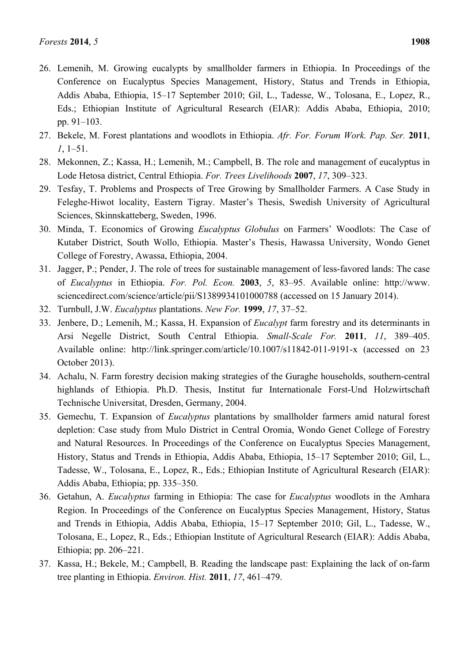- 26. Lemenih, M. Growing eucalypts by smallholder farmers in Ethiopia. In Proceedings of the Conference on Eucalyptus Species Management, History, Status and Trends in Ethiopia, Addis Ababa, Ethiopia, 15–17 September 2010; Gil, L., Tadesse, W., Tolosana, E., Lopez, R., Eds.; Ethiopian Institute of Agricultural Research (EIAR): Addis Ababa, Ethiopia, 2010; pp. 91–103.
- 27. Bekele, M. Forest plantations and woodlots in Ethiopia. *Afr. For. Forum Work. Pap. Ser.* **2011**, *1*, 1–51.
- 28. Mekonnen, Z.; Kassa, H.; Lemenih, M.; Campbell, B. The role and management of eucalyptus in Lode Hetosa district, Central Ethiopia. *For. Trees Livelihoods* **2007**, *17*, 309–323.
- 29. Tesfay, T. Problems and Prospects of Tree Growing by Smallholder Farmers. A Case Study in Feleghe-Hiwot locality, Eastern Tigray. Master's Thesis, Swedish University of Agricultural Sciences, Skinnskatteberg, Sweden, 1996.
- 30. Minda, T. Economics of Growing *Eucalyptus Globulus* on Farmers' Woodlots: The Case of Kutaber District, South Wollo, Ethiopia. Master's Thesis, Hawassa University, Wondo Genet College of Forestry, Awassa, Ethiopia, 2004.
- 31. Jagger, P.; Pender, J. The role of trees for sustainable management of less-favored lands: The case of *Eucalyptus* in Ethiopia. *For. Pol. Econ.* **2003**, *5*, 83–95. Available online: http://www. sciencedirect.com/science/article/pii/S1389934101000788 (accessed on 15 January 2014).
- 32. Turnbull, J.W. *Eucalyptus* plantations. *New For.* **1999**, *17*, 37–52.
- 33. Jenbere, D.; Lemenih, M.; Kassa, H. Expansion of *Eucalypt* farm forestry and its determinants in Arsi Negelle District, South Central Ethiopia. *Small-Scale For.* **2011**, *11*, 389–405. Available online: http://link.springer.com/article/10.1007/s11842-011-9191-x (accessed on 23 October 2013).
- 34. Achalu, N. Farm forestry decision making strategies of the Guraghe households, southern-central highlands of Ethiopia. Ph.D. Thesis, Institut fur Internationale Forst-Und Holzwirtschaft Technische Universitat, Dresden, Germany, 2004.
- 35. Gemechu, T. Expansion of *Eucalyptus* plantations by smallholder farmers amid natural forest depletion: Case study from Mulo District in Central Oromia, Wondo Genet College of Forestry and Natural Resources. In Proceedings of the Conference on Eucalyptus Species Management, History, Status and Trends in Ethiopia, Addis Ababa, Ethiopia, 15–17 September 2010; Gil, L., Tadesse, W., Tolosana, E., Lopez, R., Eds.; Ethiopian Institute of Agricultural Research (EIAR): Addis Ababa, Ethiopia; pp. 335–350.
- 36. Getahun, A. *Eucalyptus* farming in Ethiopia: The case for *Eucalyptus* woodlots in the Amhara Region. In Proceedings of the Conference on Eucalyptus Species Management, History, Status and Trends in Ethiopia, Addis Ababa, Ethiopia, 15–17 September 2010; Gil, L., Tadesse, W., Tolosana, E., Lopez, R., Eds.; Ethiopian Institute of Agricultural Research (EIAR): Addis Ababa, Ethiopia; pp. 206–221.
- 37. Kassa, H.; Bekele, M.; Campbell, B. Reading the landscape past: Explaining the lack of on-farm tree planting in Ethiopia. *Environ. Hist.* **2011**, *17*, 461–479.